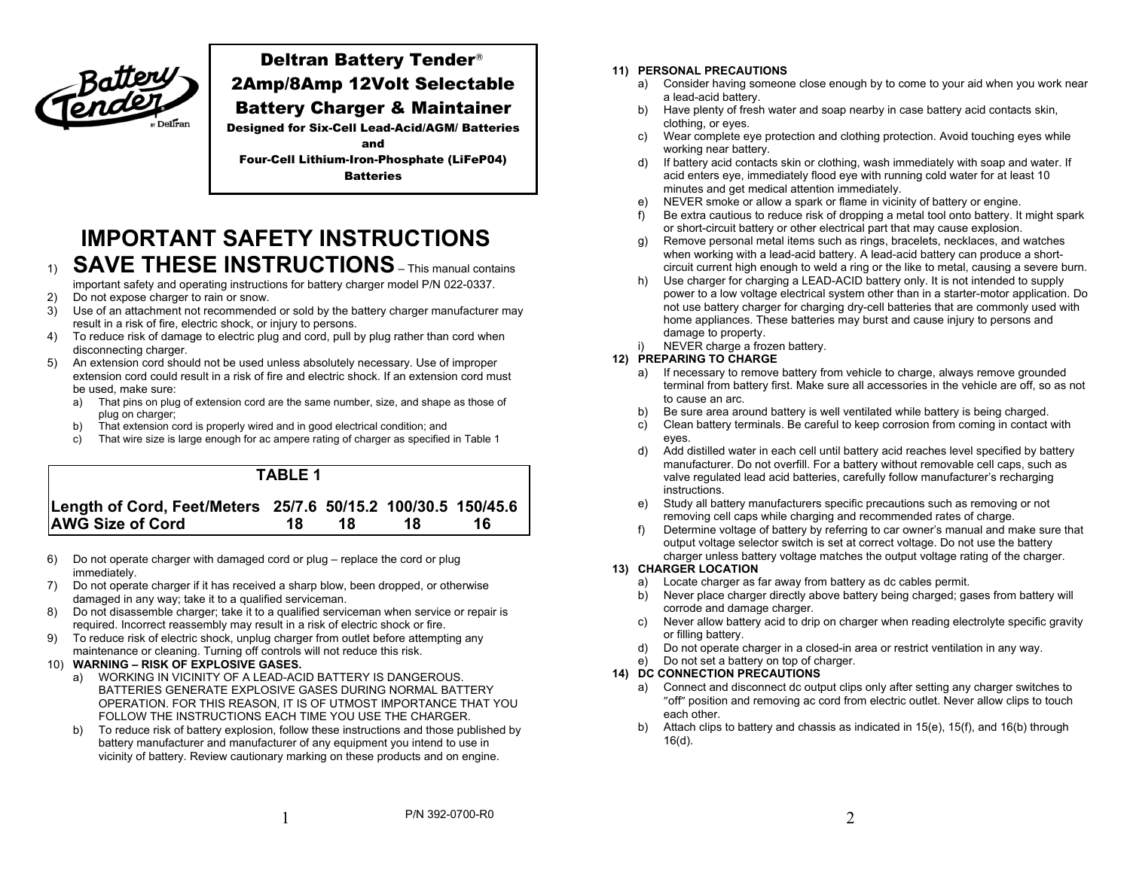

# Deltran Battery Tender 2Amp/8Amp 12Volt Selectable

## Battery Charger & Maintainer

Designed for Six-Cell Lead-Acid/AGM/ Batteries

and Four-Cell Lithium-Iron-Phosphate (LiFeP04) **Batteries** 

**IMPORTANT SAFETY INSTRUCTIONS SAVE THESE INSTRUCTIONS** – This manual contains

- important safety and operating instructions for battery charger model P/N 022-0337.
- 2) Do not expose charger to rain or snow.
- 3) Use of an attachment not recommended or sold by the battery charger manufacturer may result in a risk of fire, electric shock, or injury to persons.
- 4) To reduce risk of damage to electric plug and cord, pull by plug rather than cord when disconnecting charger.
- 5) An extension cord should not be used unless absolutely necessary. Use of improper extension cord could result in a risk of fire and electric shock. If an extension cord must be used, make sure:
	- a) That pins on plug of extension cord are the same number, size, and shape as those of plug on charger;
	- b) That extension cord is properly wired and in good electrical condition; and
	- c) That wire size is large enough for ac ampere rating of charger as specified in Table 1



- 6) Do not operate charger with damaged cord or plug replace the cord or plug immediately.
- 7) Do not operate charger if it has received a sharp blow, been dropped, or otherwise damaged in any way; take it to a qualified serviceman.
- 8) Do not disassemble charger; take it to a qualified serviceman when service or repair is required. Incorrect reassembly may result in a risk of electric shock or fire.
- 9) To reduce risk of electric shock, unplug charger from outlet before attempting any maintenance or cleaning. Turning off controls will not reduce this risk.

#### 10) **WARNING – RISK OF EXPLOSIVE GASES.**

- a) WORKING IN VICINITY OF A LEAD-ACID BATTERY IS DANGEROUS. BATTERIES GENERATE EXPLOSIVE GASES DURING NORMAL BATTERY OPERATION. FOR THIS REASON, IT IS OF UTMOST IMPORTANCE THAT YOU FOLLOW THE INSTRUCTIONS EACH TIME YOU USE THE CHARGER.
- b) To reduce risk of battery explosion, follow these instructions and those published by battery manufacturer and manufacturer of any equipment you intend to use in vicinity of battery. Review cautionary marking on these products and on engine.

#### **11) PERSONAL PRECAUTIONS**

- a) Consider having someone close enough by to come to your aid when you work near a lead-acid battery.
- b) Have plenty of fresh water and soap nearby in case battery acid contacts skin, clothing, or eyes.
- c) Wear complete eye protection and clothing protection. Avoid touching eyes while working near battery.
- d) If battery acid contacts skin or clothing, wash immediately with soap and water. If acid enters eye, immediately flood eye with running cold water for at least 10 minutes and get medical attention immediately.
- e) NEVER smoke or allow a spark or flame in vicinity of battery or engine.
- f) Be extra cautious to reduce risk of dropping a metal tool onto battery. It might spark or short-circuit battery or other electrical part that may cause explosion.
- g) Remove personal metal items such as rings, bracelets, necklaces, and watches when working with a lead-acid battery. A lead-acid battery can produce a shortcircuit current high enough to weld a ring or the like to metal, causing a severe burn.
- h) Use charger for charging a LEAD-ACID battery only. It is not intended to supply power to a low voltage electrical system other than in a starter-motor application. Do not use battery charger for charging dry-cell batteries that are commonly used with home appliances. These batteries may burst and cause injury to persons and damage to property.
- NEVER charge a frozen battery.

#### **12) PREPARING TO CHARGE**

- a) If necessary to remove battery from vehicle to charge, always remove grounded terminal from battery first. Make sure all accessories in the vehicle are off, so as not to cause an arc.
- b) Be sure area around battery is well ventilated while battery is being charged.
- c) Clean battery terminals. Be careful to keep corrosion from coming in contact with eyes.
- d) Add distilled water in each cell until battery acid reaches level specified by battery manufacturer. Do not overfill. For a battery without removable cell caps, such as valve regulated lead acid batteries, carefully follow manufacturer's recharging instructions.
- e) Study all battery manufacturers specific precautions such as removing or not removing cell caps while charging and recommended rates of charge.
- f) Determine voltage of battery by referring to car owner's manual and make sure that output voltage selector switch is set at correct voltage. Do not use the battery charger unless battery voltage matches the output voltage rating of the charger.

#### **13) CHARGER LOCATION**

- a) Locate charger as far away from battery as dc cables permit.
- b) Never place charger directly above battery being charged; gases from battery will corrode and damage charger.
- c) Never allow battery acid to drip on charger when reading electrolyte specific gravity or filling battery.
- d) Do not operate charger in a closed-in area or restrict ventilation in any way.
- Do not set a battery on top of charger.

### **14) DC CONNECTION PRECAUTIONS**

- a) Connect and disconnect dc output clips only after setting any charger switches to "off" position and removing ac cord from electric outlet. Never allow clips to touch each other.
- Attach clips to battery and chassis as indicated in 15(e), 15(f), and 16(b) through 16(d).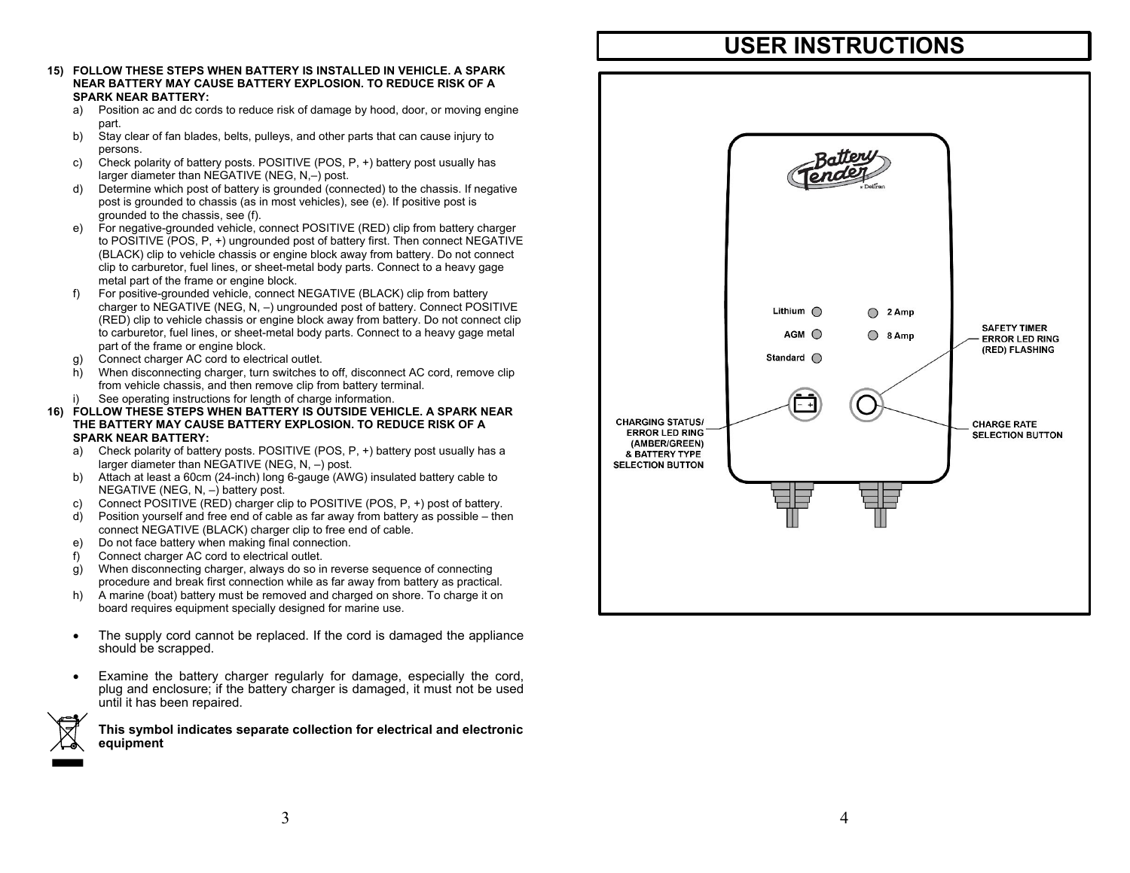- **15) FOLLOW THESE STEPS WHEN BATTERY IS INSTALLED IN VEHICLE. A SPARK NEAR BATTERY MAY CAUSE BATTERY EXPLOSION. TO REDUCE RISK OF A SPARK NEAR BATTERY:** 
	- a) Position ac and dc cords to reduce risk of damage by hood, door, or moving engine part.
	- b) Stay clear of fan blades, belts, pulleys, and other parts that can cause injury to persons.
	- c) Check polarity of battery posts. POSITIVE (POS, P, +) battery post usually has larger diameter than NEGATIVE (NEG, N,–) post.
	- d) Determine which post of battery is grounded (connected) to the chassis. If negative post is grounded to chassis (as in most vehicles), see (e). If positive post is grounded to the chassis, see (f).
	- e) For negative-grounded vehicle, connect POSITIVE (RED) clip from battery charger to POSITIVE (POS, P, +) ungrounded post of battery first. Then connect NEGATIVE (BLACK) clip to vehicle chassis or engine block away from battery. Do not connect clip to carburetor, fuel lines, or sheet-metal body parts. Connect to a heavy gage metal part of the frame or engine block.
	- For positive-grounded vehicle, connect NEGATIVE (BLACK) clip from battery charger to NEGATIVE (NEG, N, –) ungrounded post of battery. Connect POSITIVE (RED) clip to vehicle chassis or engine block away from battery. Do not connect clip to carburetor, fuel lines, or sheet-metal body parts. Connect to a heavy gage metal part of the frame or engine block.
	- g) Connect charger AC cord to electrical outlet.
	- h) When disconnecting charger, turn switches to off, disconnect AC cord, remove clip from vehicle chassis, and then remove clip from battery terminal.
	- See operating instructions for length of charge information.
- **16) FOLLOW THESE STEPS WHEN BATTERY IS OUTSIDE VEHICLE. A SPARK NEAR THE BATTERY MAY CAUSE BATTERY EXPLOSION. TO REDUCE RISK OF A SPARK NEAR BATTERY:** 
	- a) Check polarity of battery posts. POSITIVE (POS, P, +) battery post usually has a larger diameter than NEGATIVE (NEG, N, –) post.
	- b) Attach at least a 60cm (24-inch) long 6-gauge (AWG) insulated battery cable to NEGATIVE (NEG, N, –) battery post.
	- c) Connect POSITIVE (RED) charger clip to POSITIVE (POS, P, +) post of battery.
	- d) Position yourself and free end of cable as far away from battery as possible then connect NEGATIVE (BLACK) charger clip to free end of cable.
	- e) Do not face battery when making final connection.
	- f) Connect charger AC cord to electrical outlet.

.

- g) When disconnecting charger, always do so in reverse sequence of connecting procedure and break first connection while as far away from battery as practical.
- h) A marine (boat) battery must be removed and charged on shore. To charge it on board requires equipment specially designed for marine use.
- The supply cord cannot be replaced. If the cord is damaged the appliance should be scrapped.
- Examine the battery charger regularly for damage, especially the cord, plug and enclosure; if the battery charger is damaged, it must not be used until it has been repaired.

**This symbol indicates separate collection for electrical and electronic equipment**

# **USER INSTRUCTIONS**

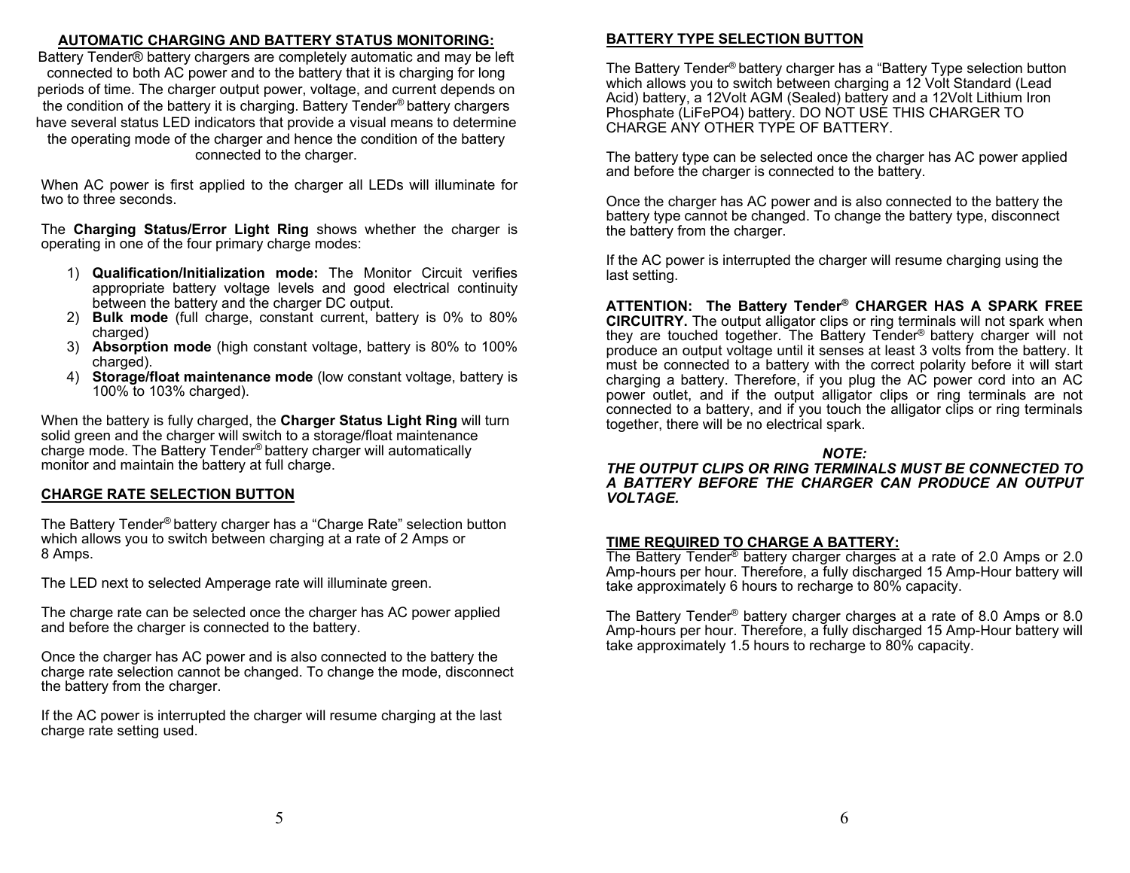## **AUTOMATIC CHARGING AND BATTERY STATUS MONITORING:**

Battery Tender® battery chargers are completely automatic and may be left connected to both AC power and to the battery that it is charging for long periods of time. The charger output power, voltage, and current depends on the condition of the battery it is charging. Battery Tender® battery chargers have several status LED indicators that provide a visual means to determine the operating mode of the charger and hence the condition of the battery connected to the charger.

When AC power is first applied to the charger all LEDs will illuminate for two to three seconds.

The **Charging Status/Error Light Ring** shows whether the charger is operating in one of the four primary charge modes:

- 1) **Qualification/Initialization mode:** The Monitor Circuit verifies appropriate battery voltage levels and good electrical continuity between the battery and the charger DC output.
- 2) **Bulk mode** (full charge, constant current, battery is 0% to 80% charged)
- 3) **Absorption mode** (high constant voltage, battery is 80% to 100% charged).
- 4) **Storage/float maintenance mode** (low constant voltage, battery is 100% to 103% charged).

When the battery is fully charged, the **Charger Status Light Ring** will turn solid green and the charger will switch to a storage/float maintenance charge mode. The Battery Tender® battery charger will automatically monitor and maintain the battery at full charge.

## **CHARGE RATE SELECTION BUTTON**

The Battery Tender® battery charger has a "Charge Rate" selection button which allows you to switch between charging at a rate of 2 Amps or 8 Amps.

The LED next to selected Amperage rate will illuminate green.

The charge rate can be selected once the charger has AC power applied and before the charger is connected to the battery.

Once the charger has AC power and is also connected to the battery the charge rate selection cannot be changed. To change the mode, disconnect the battery from the charger.

If the AC power is interrupted the charger will resume charging at the last charge rate setting used.

## **BATTERY TYPE SELECTION BUTTON**

The Battery Tender® battery charger has a "Battery Type selection button which allows you to switch between charging a 12 Volt Standard (Lead Acid) battery, a 12Volt AGM (Sealed) battery and a 12Volt Lithium Iron Phosphate (LiFePO4) battery. DO NOT USE THIS CHARGER TO CHARGE ANY OTHER TYPE OF BATTERY.

The battery type can be selected once the charger has AC power applied and before the charger is connected to the battery.

Once the charger has AC power and is also connected to the battery the battery type cannot be changed. To change the battery type, disconnect the battery from the charger.

If the AC power is interrupted the charger will resume charging using the last setting.

**ATTENTION: The Battery Tender® CHARGER HAS A SPARK FREE CIRCUITRY.** The output alligator clips or ring terminals will not spark when they are touched together. The Battery Tender® battery charger will not produce an output voltage until it senses at least 3 volts from the battery. It must be connected to a battery with the correct polarity before it will start charging a battery. Therefore, if you plug the AC power cord into an AC power outlet, and if the output alligator clips or ring terminals are not connected to a battery, and if you touch the alligator clips or ring terminals together, there will be no electrical spark.

## *NOTE:*

*THE OUTPUT CLIPS OR RING TERMINALS MUST BE CONNECTED TO A BATTERY BEFORE THE CHARGER CAN PRODUCE AN OUTPUT VOLTAGE.* 

## **TIME REQUIRED TO CHARGE A BATTERY:**

The Battery Tender® battery charger charges at a rate of 2.0 Amps or 2.0 Amp-hours per hour. Therefore, a fully discharged 15 Amp-Hour battery will take approximately 6 hours to recharge to 80% capacity.

The Battery Tender® battery charger charges at a rate of 8.0 Amps or 8.0 Amp-hours per hour. Therefore, a fully discharged 15 Amp-Hour battery will take approximately 1.5 hours to recharge to 80% capacity.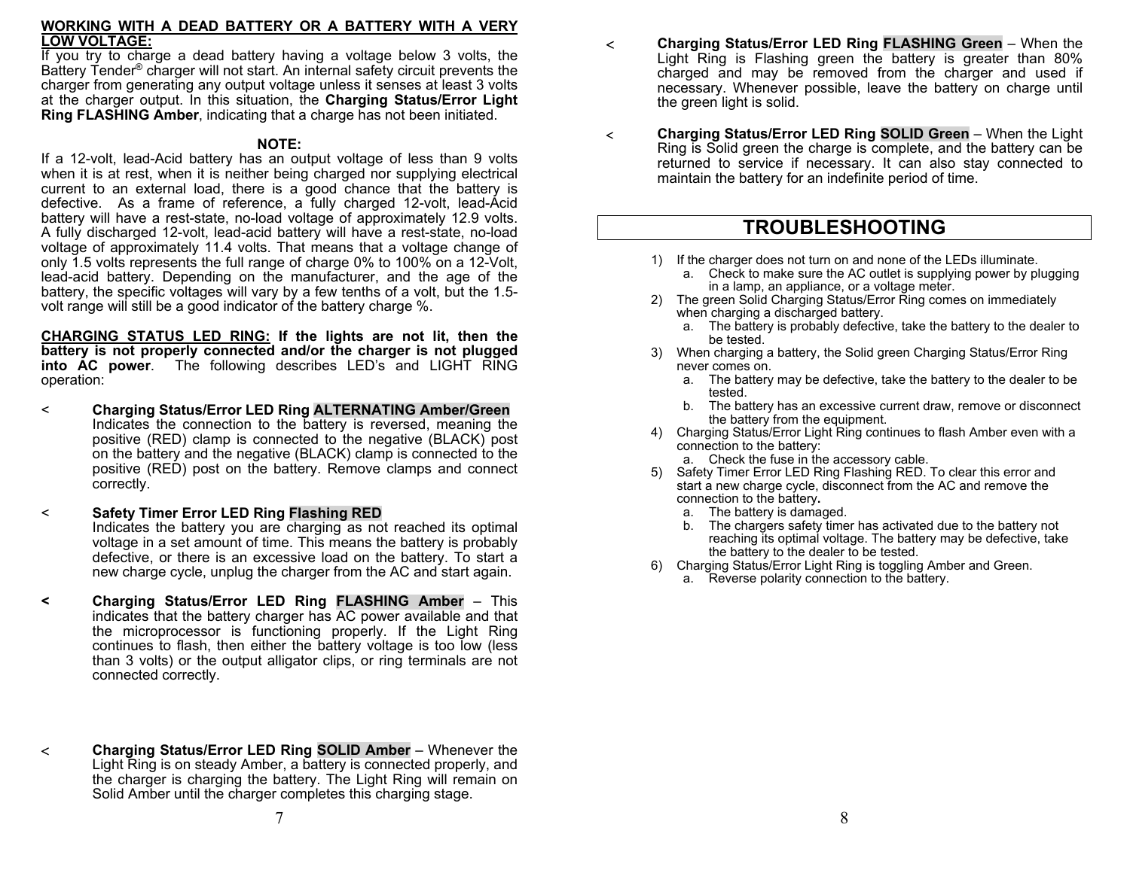### **WORKING WITH A DEAD BATTERY OR A BATTERY WITH A VERY LOW VOLTAGE:**

If you try to charge a dead battery having a voltage below 3 volts, the Battery Tender® charger will not start. An internal safety circuit prevents the charger from generating any output voltage unless it senses at least 3 volts at the charger output. In this situation, the **Charging Status/Error Light Ring FLASHING Amber**, indicating that a charge has not been initiated.

### **NOTE:**

If a 12-volt, lead-Acid battery has an output voltage of less than 9 volts when it is at rest, when it is neither being charged nor supplying electrical current to an external load, there is a good chance that the battery is defective. As a frame of reference, a fully charged 12-volt, lead-Acid battery will have a rest-state, no-load voltage of approximately 12.9 volts. A fully discharged 12-volt, lead-acid battery will have a rest-state, no-load voltage of approximately 11.4 volts. That means that a voltage change of only 1.5 volts represents the full range of charge 0% to 100% on a 12-Volt, lead-acid battery. Depending on the manufacturer, and the age of the battery, the specific voltages will vary by a few tenths of a volt, but the 1.5 volt range will still be a good indicator of the battery charge %.

**CHARGING STATUS LED RING: If the lights are not lit, then the battery is not properly connected and/or the charger is not plugged into AC power**. The following describes LED's and LIGHT RING operation:

- <sup>&</sup>lt;**Charging Status/Error LED Ring ALTERNATING Amber/Green**  Indicates the connection to the battery is reversed, meaning the positive (RED) clamp is connected to the negative (BLACK) post on the battery and the negative (BLACK) clamp is connected to the positive (RED) post on the battery. Remove clamps and connect correctly.
- <sup>&</sup>lt;**Safety Timer Error LED Ring Flashing RED**

Indicates the battery you are charging as not reached its optimal voltage in a set amount of time. This means the battery is probably defective, or there is an excessive load on the battery. To start a new charge cycle, unplug the charger from the AC and start again.

- **< Charging Status/Error LED Ring FLASHING Amber** This indicates that the battery charger has AC power available and that the microprocessor is functioning properly. If the Light Ring continues to flash, then either the battery voltage is too low (less than 3 volts) or the output alligator clips, or ring terminals are not connected correctly.
- **Charging Status/Error LED Ring SOLID Amber** Whenever the Light Ring is on steady Amber, a battery is connected properly, and the charger is charging the battery. The Light Ring will remain on Solid Amber until the charger completes this charging stage.
- **Charging Status/Error LED Ring FLASHING Green** When the Light Ring is Flashing green the battery is greater than 80% charged and may be removed from the charger and used if necessary. Whenever possible, leave the battery on charge until the green light is solid.
- $\leq$  **Charging Status/Error LED Ring SOLID Green** – When the Light Ring is Solid green the charge is complete, and the battery can be returned to service if necessary. It can also stay connected to maintain the battery for an indefinite period of time.

# **TROUBLESHOOTING**

- 1) If the charger does not turn on and none of the LEDs illuminate.
	- a. Check to make sure the AC outlet is supplying power by plugging in a lamp, an appliance, or a voltage meter.
- 2) The green Solid Charging Status/Error Ring comes on immediately when charging a discharged battery.
	- a. The battery is probably defective, take the battery to the dealer to be tested.
- 3) When charging a battery, the Solid green Charging Status/Error Ring never comes on.
	- a. The battery may be defective, take the battery to the dealer to be tested.
	- b. The battery has an excessive current draw, remove or disconnect the battery from the equipment.
- 4) Charging Status/Error Light Ring continues to flash Amber even with a connection to the battery:
	- a. Check the fuse in the accessory cable.
- 5) Safety Timer Error LED Ring Flashing RED. To clear this error and start a new charge cycle, disconnect from the AC and remove the connection to the battery**.** 
	- a. The battery is damaged.
	- b. The chargers safety timer has activated due to the battery not reaching its optimal voltage. The battery may be defective, take the battery to the dealer to be tested.
- 6) Charging Status/Error Light Ring is toggling Amber and Green.
	- a. Reverse polarity connection to the battery.